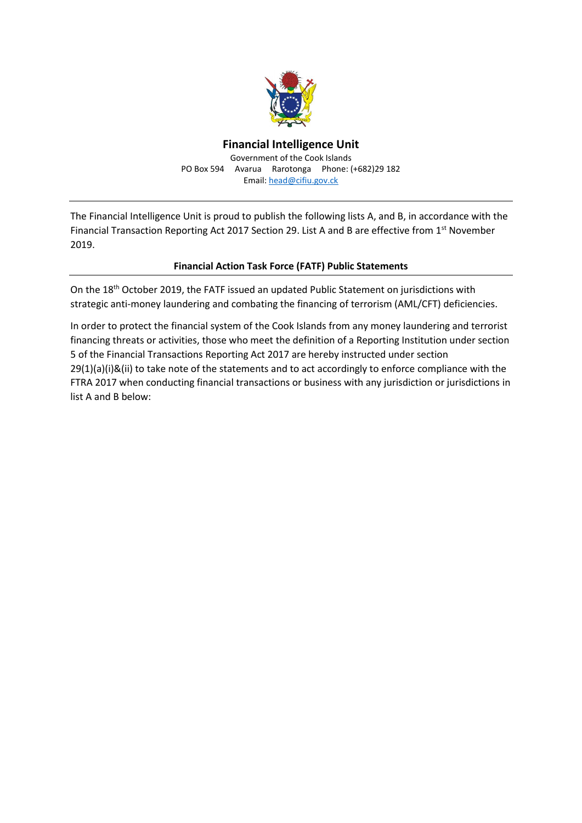

## **Financial Intelligence Unit** Government of the Cook Islands PO Box 594 Avarua Rarotonga Phone: (+682)29 182 Email: [head@cifiu.gov.ck](mailto:head@cifiu.gov.ck)

The Financial Intelligence Unit is proud to publish the following lists A, and B, in accordance with the Financial Transaction Reporting Act 2017 Section 29. List A and B are effective from 1st November 2019.

## **Financial Action Task Force (FATF) Public Statements**

On the 18th October 2019, the FATF issued an updated Public Statement on jurisdictions with strategic anti-money laundering and combating the financing of terrorism (AML/CFT) deficiencies.

In order to protect the financial system of the Cook Islands from any money laundering and terrorist financing threats or activities, those who meet the definition of a Reporting Institution under section 5 of the Financial Transactions Reporting Act 2017 are hereby instructed under section 29(1)(a)(i)&(ii) to take note of the statements and to act accordingly to enforce compliance with the FTRA 2017 when conducting financial transactions or business with any jurisdiction or jurisdictions in list A and B below: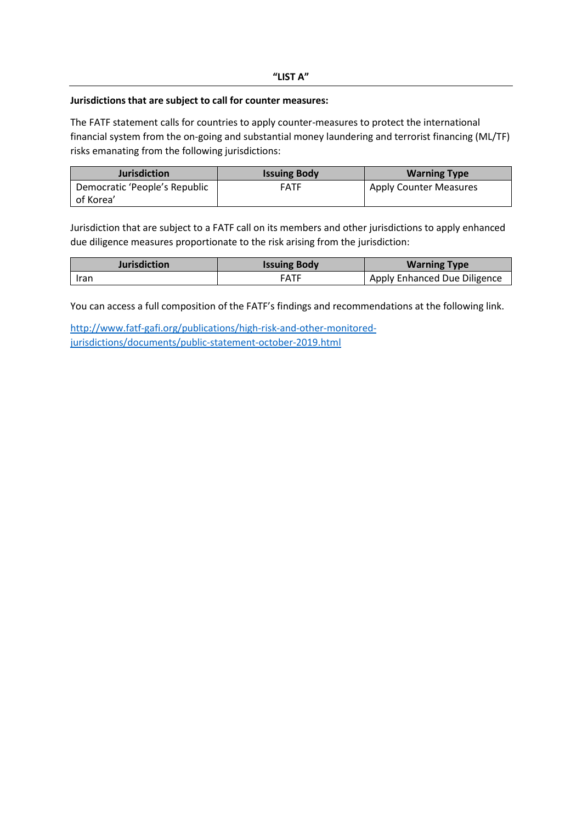## **Jurisdictions that are subject to call for counter measures:**

The FATF statement calls for countries to apply counter-measures to protect the international financial system from the on-going and substantial money laundering and terrorist financing (ML/TF) risks emanating from the following jurisdictions:

| <b>Jurisdiction</b>           | <b>Issuing Body</b> | <b>Warning Type</b>           |
|-------------------------------|---------------------|-------------------------------|
| Democratic 'People's Republic | <b>FATF</b>         | <b>Apply Counter Measures</b> |
| of Korea'                     |                     |                               |

Jurisdiction that are subject to a FATF call on its members and other jurisdictions to apply enhanced due diligence measures proportionate to the risk arising from the jurisdiction:

| <b>Jurisdiction</b> | <b>Issuing Body</b> | <b>Warning Type</b>          |
|---------------------|---------------------|------------------------------|
| Iran                | <b>FATF</b>         | Apply Enhanced Due Diligence |

You can access a full composition of the FATF's findings and recommendations at the following link.

[http://www.fatf-gafi.org/publications/high-risk-and-other-monitored](http://www.fatf-gafi.org/publications/high-risk-and-other-monitored-jurisdictions/documents/public-statement-october-2019.html)[jurisdictions/documents/public-statement-october-2019.html](http://www.fatf-gafi.org/publications/high-risk-and-other-monitored-jurisdictions/documents/public-statement-october-2019.html)